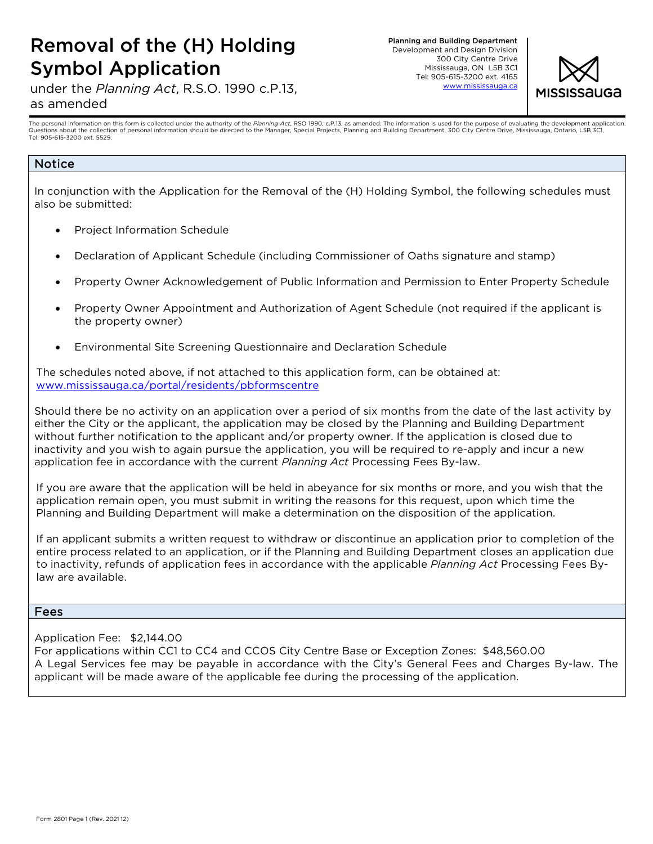## Removal of the (H) Holding Symbol Application

under the *Planning Act*, R.S.O. 1990 c.P.13,

Planning and Building Department Development and Design Division 300 City Centre Drive Mississauga, ON L5B 3C1 Tel: 905-615-3200 ext. 4165 [www.mississauga](http://www.mississauga.ca/).ca



#### as amended

The personal information on this form is collected under the authority of the Planning Act, RSO 1990, c.P.13, as amended. The information is used for the purpose of evaluating the development application. Questions about the collection of personal information should be directed to the Manager, Special Projects, Planning and Building Department, 300 City Centre Drive, Mississauga, Ontario, L5B 3C1, Tel: 905-615-3200 ext. 5529.

### Notice

In conjunction with the Application for the Removal of the (H) Holding Symbol, the following schedules must also be submitted:

- Project Information Schedule
- Declaration of Applicant Schedule (including Commissioner of Oaths signature and stamp)
- Property Owner Acknowledgement of Public Information and Permission to Enter Property Schedule
- Property Owner Appointment and Authorization of Agent Schedule (not required if the applicant is the property owner)
- Environmental Site Screening Questionnaire and Declaration Schedule

The schedules noted above, if not attached to this application form, can be obtained at: [www.mississauga.ca/portal/residents/pbformscentre](http://www.mississauga.ca/portal/residents/pbformscentre)

Should there be no activity on an application over a period of six months from the date of the last activity by either the City or the applicant, the application may be closed by the Planning and Building Department without further notification to the applicant and/or property owner. If the application is closed due to inactivity and you wish to again pursue the application, you will be required to re-apply and incur a new application fee in accordance with the current *Planning Act* Processing Fees By-law.

If you are aware that the application will be held in abeyance for six months or more, and you wish that the application remain open, you must submit in writing the reasons for this request, upon which time the Planning and Building Department will make a determination on the disposition of the application.

If an applicant submits a written request to withdraw or discontinue an application prior to completion of the entire process related to an application, or if the Planning and Building Department closes an application due to inactivity, refunds of application fees in accordance with the applicable *Planning Act* Processing Fees Bylaw are available.

#### Fees

Application Fee: \$2,144.00

For applications within CC1 to CC4 and CCOS City Centre Base or Exception Zones: \$48,560.00 A Legal Services fee may be payable in accordance with the City's General Fees and Charges By-law. The applicant will be made aware of the applicable fee during the processing of the application.